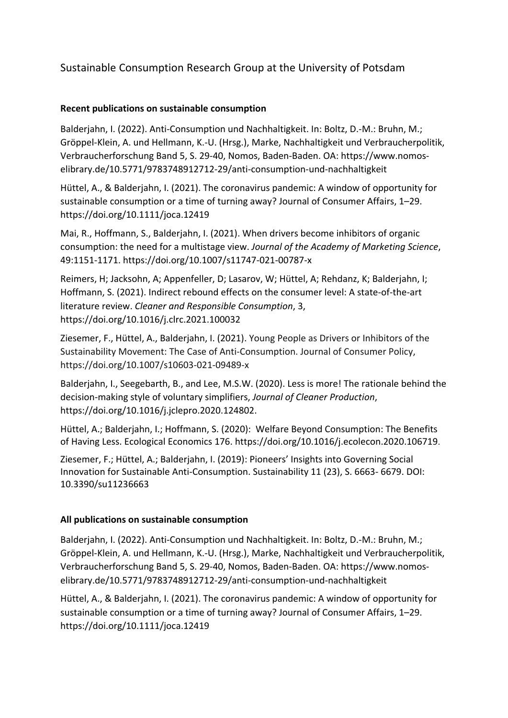## Sustainable Consumption Research Group at the University of Potsdam

## **Recent publications on sustainable consumption**

Balderjahn, I. (2022). Anti-Consumption und Nachhaltigkeit. In: Boltz, D.-M.: Bruhn, M.; Gröppel-Klein, A. und Hellmann, K.-U. (Hrsg.), Marke, Nachhaltigkeit und Verbraucherpolitik, Verbraucherforschung Band 5, S. 29-40, Nomos, Baden-Baden. OA: https://www.nomoselibrary.de/10.5771/9783748912712-29/anti-consumption-und-nachhaltigkeit

Hüttel, A., & Balderjahn, I. (2021). The coronavirus pandemic: A window of opportunity for sustainable consumption or a time of turning away? Journal of Consumer Affairs, 1–29. https://doi.org/10.1111/joca.12419

Mai, R., Hoffmann, S., Balderjahn, I. (2021). When drivers become inhibitors of organic consumption: the need for a multistage view. *Journal of the Academy of Marketing Science*, 49:1151-1171. https://doi.org/10.1007/s11747-021-00787-x

Reimers, H; Jacksohn, A; Appenfeller, D; Lasarov, W; Hüttel, A; Rehdanz, K; Balderjahn, I; Hoffmann, S. (2021). Indirect rebound effects on the consumer level: A state-of-the-art literature review. *[Cleaner and Responsible Consumption](https://www.sciencedirect.com/science/journal/26667843)*, 3, https://doi.org/10.1016/j.clrc.2021.100032

Ziesemer, F., Hüttel, A., Balderjahn, I. (2021). Young People as Drivers or Inhibitors of the Sustainability Movement: The Case of Anti-Consumption. Journal of Consumer Policy, https://doi.org/10.1007/s10603-021-09489-x

Balderjahn, I., Seegebarth, B., and Lee, M.S.W. (2020). Less is more! The rationale behind the decision-making style of voluntary simplifiers, *Journal of Cleaner Production*, https://doi.org/10.1016/j.jclepro.2020.124802.

Hüttel, A.; Balderjahn, I.; Hoffmann, S. (2020): Welfare Beyond Consumption: The Benefits of Having Less. Ecological Economics 176. https://doi.org/10.1016/j.ecolecon.2020.106719.

Ziesemer, F.; Hüttel, A.; Balderjahn, I. (2019): Pioneers' Insights into Governing Social Innovation for Sustainable Anti-Consumption. Sustainability 11 (23), S. 6663- 6679. DOI: 10.3390/su11236663

## **All publications on sustainable consumption**

Balderjahn, I. (2022). Anti-Consumption und Nachhaltigkeit. In: Boltz, D.-M.: Bruhn, M.; Gröppel-Klein, A. und Hellmann, K.-U. (Hrsg.), Marke, Nachhaltigkeit und Verbraucherpolitik, Verbraucherforschung Band 5, S. 29-40, Nomos, Baden-Baden. OA: https://www.nomoselibrary.de/10.5771/9783748912712-29/anti-consumption-und-nachhaltigkeit

Hüttel, A., & Balderjahn, I. (2021). The coronavirus pandemic: A window of opportunity for sustainable consumption or a time of turning away? Journal of Consumer Affairs, 1–29. https://doi.org/10.1111/joca.12419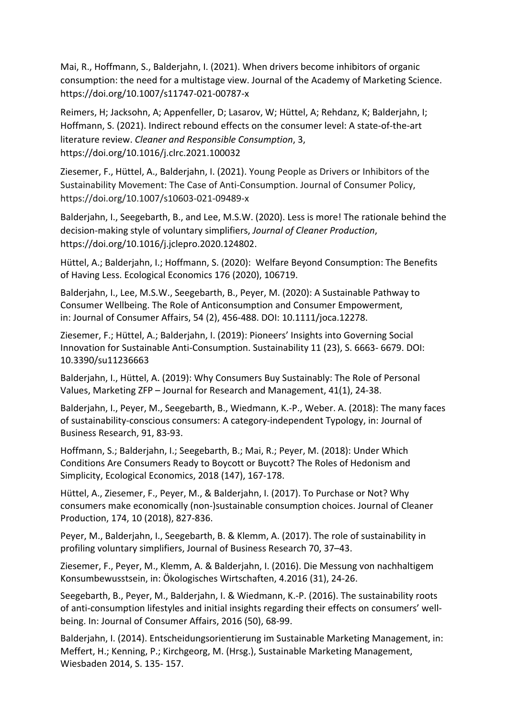Mai, R., Hoffmann, S., Balderjahn, I. (2021). When drivers become inhibitors of organic consumption: the need for a multistage view. Journal of the Academy of Marketing Science. https://doi.org/10.1007/s11747-021-00787-x

Reimers, H; Jacksohn, A; Appenfeller, D; Lasarov, W; Hüttel, A; Rehdanz, K; Balderjahn, I; Hoffmann, S. (2021). Indirect rebound effects on the consumer level: A state-of-the-art literature review. *[Cleaner and Responsible Consumption](https://www.sciencedirect.com/science/journal/26667843)*, 3, https://doi.org/10.1016/j.clrc.2021.100032

Ziesemer, F., Hüttel, A., Balderjahn, I. (2021). Young People as Drivers or Inhibitors of the Sustainability Movement: The Case of Anti-Consumption. Journal of Consumer Policy, https://doi.org/10.1007/s10603-021-09489-x

Balderjahn, I., Seegebarth, B., and Lee, M.S.W. (2020). Less is more! The rationale behind the decision-making style of voluntary simplifiers, *Journal of Cleaner Production*, https://doi.org/10.1016/j.jclepro.2020.124802.

Hüttel, A.; Balderjahn, I.; Hoffmann, S. (2020): Welfare Beyond Consumption: The Benefits of Having Less. Ecological Economics 176 (2020), 106719.

Balderjahn, I., Lee, M.S.W., Seegebarth, B., Peyer, M. (2020): A Sustainable Pathway to Consumer Wellbeing. The Role of Anticonsumption and Consumer Empowerment, in: Journal of Consumer Affairs, 54 (2), 456-488. DOI: 10.1111/joca.12278.

Ziesemer, F.; Hüttel, A.; Balderjahn, I. (2019): Pioneers' Insights into Governing Social Innovation for Sustainable Anti-Consumption. Sustainability 11 (23), S. 6663- 6679. DOI: 10.3390/su11236663

Balderjahn, I., Hüttel, A. (2019): Why Consumers Buy Sustainably: The Role of Personal Values, Marketing ZFP – Journal for Research and Management, 41(1), 24-38.

Balderjahn, I., Peyer, M., Seegebarth, B., Wiedmann, K.-P., Weber. A. (2018): The many faces of sustainability-conscious consumers: A category-independent Typology, in: Journal of Business Research, 91, 83-93.

Hoffmann, S.; Balderjahn, I.; Seegebarth, B.; Mai, R.; Peyer, M. (2018): Under Which Conditions Are Consumers Ready to Boycott or Buycott? The Roles of Hedonism and Simplicity, Ecological Economics, 2018 (147), 167-178.

Hüttel, A., Ziesemer, F., Peyer, M., & Balderjahn, I. (2017). To Purchase or Not? Why consumers make economically (non-)sustainable consumption choices. Journal of Cleaner Production, 174, 10 (2018), 827-836.

Peyer, M., Balderjahn, I., Seegebarth, B. & Klemm, A. (2017). The role of sustainability in profiling voluntary simplifiers, Journal of Business Research 70, 37–43.

Ziesemer, F., Peyer, M., Klemm, A. & Balderjahn, I. (2016). Die Messung von nachhaltigem Konsumbewusstsein, in: Ökologisches Wirtschaften, 4.2016 (31), 24-26.

Seegebarth, B., Peyer, M., Balderjahn, I. & Wiedmann, K.-P. (2016). The sustainability roots of anti-consumption lifestyles and initial insights regarding their effects on consumers' wellbeing. In: Journal of Consumer Affairs, 2016 (50), 68-99.

Balderjahn, I. (2014). Entscheidungsorientierung im Sustainable Marketing Management, in: Meffert, H.; Kenning, P.; Kirchgeorg, M. (Hrsg.), Sustainable Marketing Management, Wiesbaden 2014, S. 135- 157.